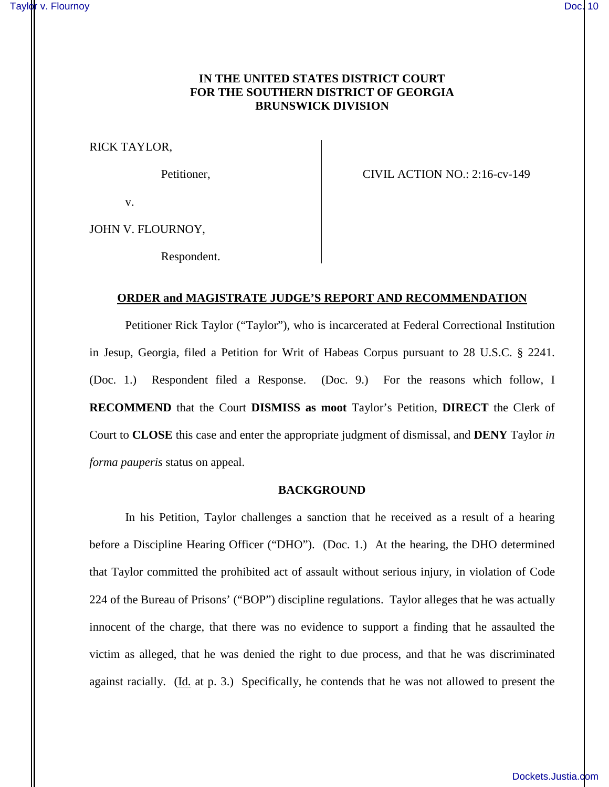# **IN THE UNITED STATES DISTRICT COURT FOR THE SOUTHERN DISTRICT OF GEORGIA BRUNSWICK DIVISION**

RICK TAYLOR,

Petitioner, CIVIL ACTION NO.: 2:16-cv-149

v.

JOHN V. FLOURNOY,

Respondent.

# **ORDER and MAGISTRATE JUDGE'S REPORT AND RECOMMENDATION**

Petitioner Rick Taylor ("Taylor"), who is incarcerated at Federal Correctional Institution in Jesup, Georgia, filed a Petition for Writ of Habeas Corpus pursuant to 28 U.S.C. § 2241. (Doc. 1.) Respondent filed a Response. (Doc. 9.) For the reasons which follow, I **RECOMMEND** that the Court **DISMISS as moot** Taylor's Petition, **DIRECT** the Clerk of Court to **CLOSE** this case and enter the appropriate judgment of dismissal, and **DENY** Taylor *in forma pauperis* status on appeal.

#### **BACKGROUND**

In his Petition, Taylor challenges a sanction that he received as a result of a hearing before a Discipline Hearing Officer ("DHO"). (Doc. 1.) At the hearing, the DHO determined that Taylor committed the prohibited act of assault without serious injury, in violation of Code 224 of the Bureau of Prisons' ("BOP") discipline regulations. Taylor alleges that he was actually innocent of the charge, that there was no evidence to support a finding that he assaulted the victim as alleged, that he was denied the right to due process, and that he was discriminated against racially. (Id. at p. 3.) Specifically, he contends that he was not allowed to present the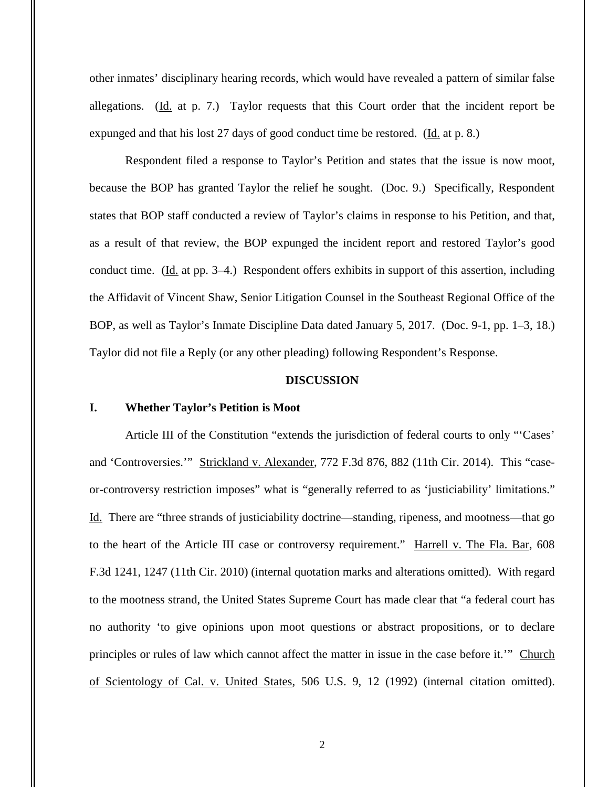other inmates' disciplinary hearing records, which would have revealed a pattern of similar false allegations. (Id. at p. 7.) Taylor requests that this Court order that the incident report be expunged and that his lost 27 days of good conduct time be restored. (Id. at p. 8.)

Respondent filed a response to Taylor's Petition and states that the issue is now moot, because the BOP has granted Taylor the relief he sought. (Doc. 9.) Specifically, Respondent states that BOP staff conducted a review of Taylor's claims in response to his Petition, and that, as a result of that review, the BOP expunged the incident report and restored Taylor's good conduct time. (Id. at pp. 3–4.) Respondent offers exhibits in support of this assertion, including the Affidavit of Vincent Shaw, Senior Litigation Counsel in the Southeast Regional Office of the BOP, as well as Taylor's Inmate Discipline Data dated January 5, 2017. (Doc. 9-1, pp. 1–3, 18.) Taylor did not file a Reply (or any other pleading) following Respondent's Response.

#### **DISCUSSION**

# **I. Whether Taylor's Petition is Moot**

Article III of the Constitution "extends the jurisdiction of federal courts to only "'Cases' and 'Controversies.'" Strickland v. Alexander, 772 F.3d 876, 882 (11th Cir. 2014). This "caseor-controversy restriction imposes" what is "generally referred to as 'justiciability' limitations." Id. There are "three strands of justiciability doctrine—standing, ripeness, and mootness—that go to the heart of the Article III case or controversy requirement." Harrell v. The Fla. Bar, 608 F.3d 1241, 1247 (11th Cir. 2010) (internal quotation marks and alterations omitted). With regard to the mootness strand, the United States Supreme Court has made clear that "a federal court has no authority 'to give opinions upon moot questions or abstract propositions, or to declare principles or rules of law which cannot affect the matter in issue in the case before it.'" Church of Scientology of Cal. v. United States, 506 U.S. 9, 12 (1992) (internal citation omitted).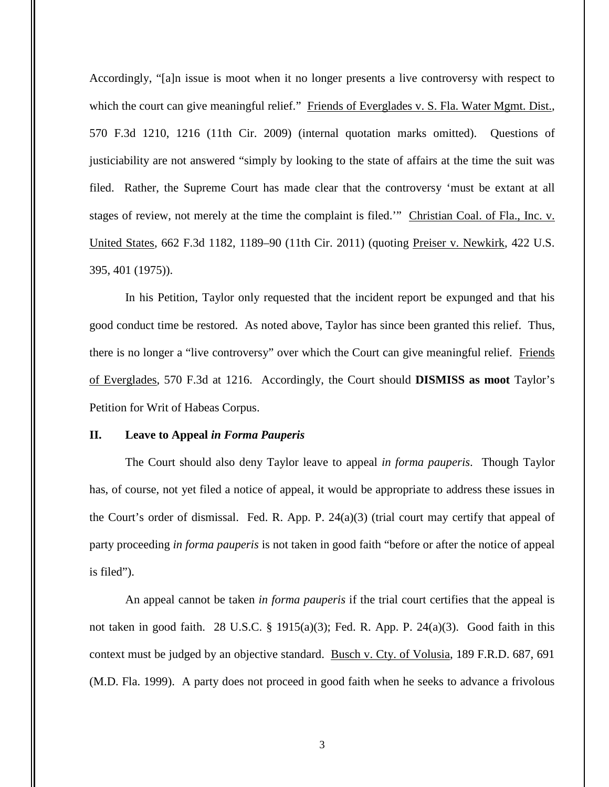Accordingly, "[a]n issue is moot when it no longer presents a live controversy with respect to which the court can give meaningful relief." Friends of Everglades v. S. Fla. Water Mgmt. Dist., 570 F.3d 1210, 1216 (11th Cir. 2009) (internal quotation marks omitted). Questions of justiciability are not answered "simply by looking to the state of affairs at the time the suit was filed. Rather, the Supreme Court has made clear that the controversy 'must be extant at all stages of review, not merely at the time the complaint is filed." Christian Coal. of Fla., Inc. v. United States, 662 F.3d 1182, 1189–90 (11th Cir. 2011) (quoting Preiser v. Newkirk, 422 U.S. 395, 401 (1975)).

In his Petition, Taylor only requested that the incident report be expunged and that his good conduct time be restored. As noted above, Taylor has since been granted this relief. Thus, there is no longer a "live controversy" over which the Court can give meaningful relief. Friends of Everglades, 570 F.3d at 1216. Accordingly, the Court should **DISMISS as moot** Taylor's Petition for Writ of Habeas Corpus.

# **II. Leave to Appeal** *in Forma Pauperis*

The Court should also deny Taylor leave to appeal *in forma pauperis*. Though Taylor has, of course, not yet filed a notice of appeal, it would be appropriate to address these issues in the Court's order of dismissal. Fed. R. App. P. 24(a)(3) (trial court may certify that appeal of party proceeding *in forma pauperis* is not taken in good faith "before or after the notice of appeal is filed").

An appeal cannot be taken *in forma pauperis* if the trial court certifies that the appeal is not taken in good faith. 28 U.S.C. § 1915(a)(3); Fed. R. App. P. 24(a)(3). Good faith in this context must be judged by an objective standard. Busch v. Cty. of Volusia, 189 F.R.D. 687, 691 (M.D. Fla. 1999). A party does not proceed in good faith when he seeks to advance a frivolous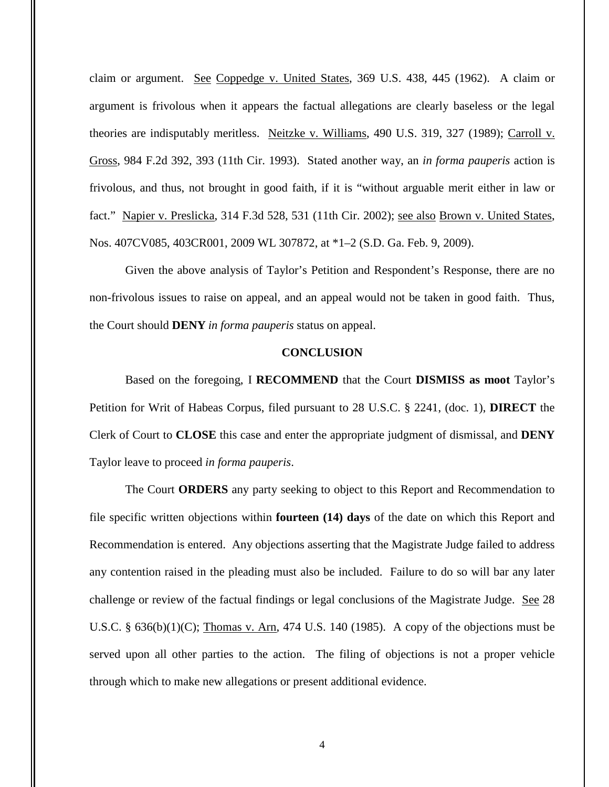claim or argument. See Coppedge v. United States, 369 U.S. 438, 445 (1962). A claim or argument is frivolous when it appears the factual allegations are clearly baseless or the legal theories are indisputably meritless. Neitzke v. Williams, 490 U.S. 319, 327 (1989); Carroll v. Gross, 984 F.2d 392, 393 (11th Cir. 1993). Stated another way, an *in forma pauperis* action is frivolous, and thus, not brought in good faith, if it is "without arguable merit either in law or fact." Napier v. Preslicka, 314 F.3d 528, 531 (11th Cir. 2002); see also Brown v. United States, Nos. 407CV085, 403CR001, 2009 WL 307872, at \*1–2 (S.D. Ga. Feb. 9, 2009).

Given the above analysis of Taylor's Petition and Respondent's Response, there are no non-frivolous issues to raise on appeal, and an appeal would not be taken in good faith. Thus, the Court should **DENY** *in forma pauperis* status on appeal.

### **CONCLUSION**

Based on the foregoing, I **RECOMMEND** that the Court **DISMISS as moot** Taylor's Petition for Writ of Habeas Corpus, filed pursuant to 28 U.S.C. § 2241, (doc. 1), **DIRECT** the Clerk of Court to **CLOSE** this case and enter the appropriate judgment of dismissal, and **DENY** Taylor leave to proceed *in forma pauperis*.

The Court **ORDERS** any party seeking to object to this Report and Recommendation to file specific written objections within **fourteen (14) days** of the date on which this Report and Recommendation is entered. Any objections asserting that the Magistrate Judge failed to address any contention raised in the pleading must also be included. Failure to do so will bar any later challenge or review of the factual findings or legal conclusions of the Magistrate Judge. See 28 U.S.C. §  $636(b)(1)(C)$ ; Thomas v. Arn, 474 U.S. 140 (1985). A copy of the objections must be served upon all other parties to the action. The filing of objections is not a proper vehicle through which to make new allegations or present additional evidence.